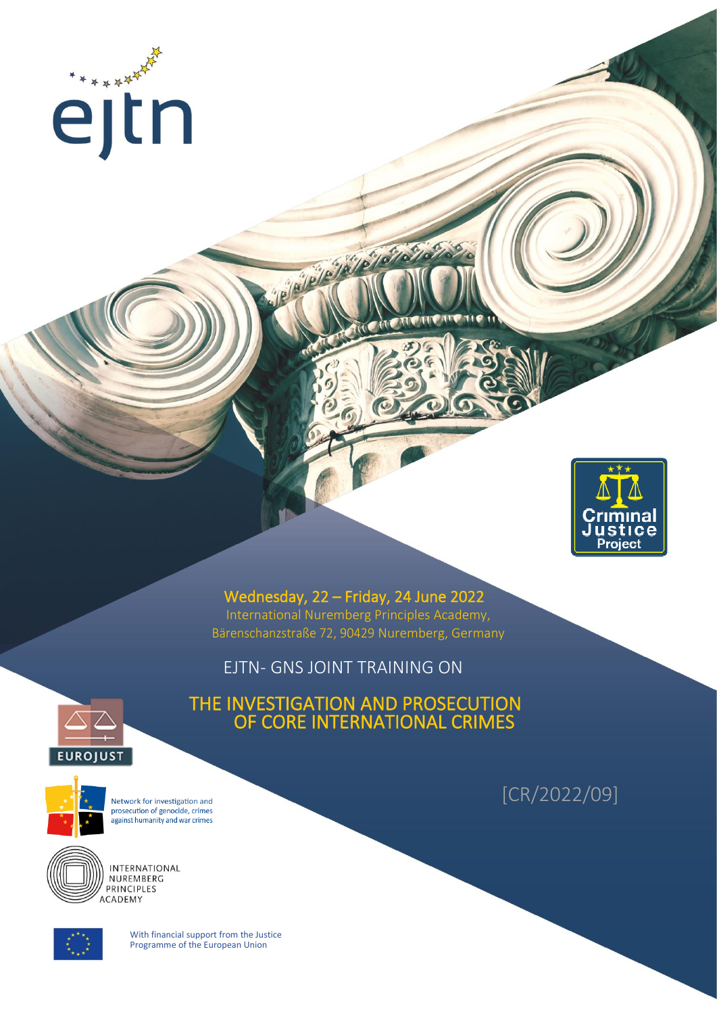



Wednesday, 22 – Friday, 24 June 2022 International Nuremberg Principles Academy, Bärenschanzstraße 72, 90429 Nuremberg, Germany

EJTN- GNS JOINT TRAINING ON

Je/a/



THE INVESTIGATION AND PROSECUTION OF CORE INTERNATIONAL CRIMES



Network for investigation and prosecution of genocide, crimes .<br>against humanity and war crimes



INTERNATIONAL NUREMBERG PRINCIPLES **ACADEMY** 



With financial support from the Justice Programme of the European Union

[CR/2022/09]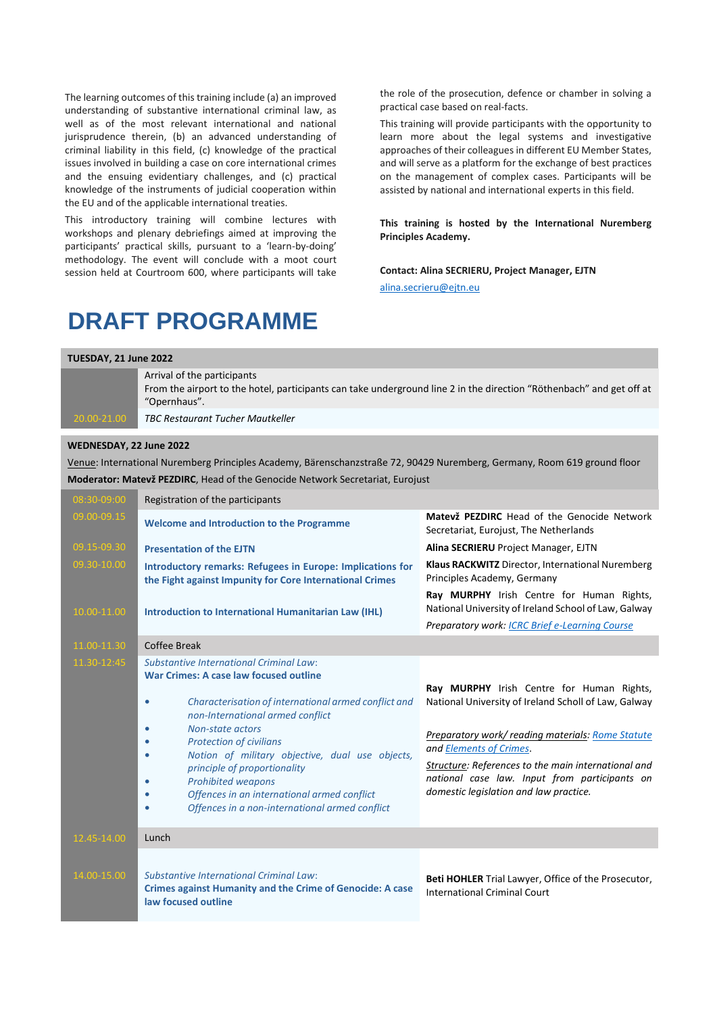The learning outcomes of this training include (a) an improved understanding of substantive international criminal law, as well as of the most relevant international and national jurisprudence therein, (b) an advanced understanding of criminal liability in this field, (c) knowledge of the practical issues involved in building a case on core international crimes and the ensuing evidentiary challenges, and (c) practical knowledge of the instruments of judicial cooperation within the EU and of the applicable international treaties.

This introductory training will combine lectures with workshops and plenary debriefings aimed at improving the participants' practical skills, pursuant to a 'learn-by-doing' methodology. The event will conclude with a moot court session held at Courtroom 600, where participants will take the role of the prosecution, defence or chamber in solving a practical case based on real-facts.

This training will provide participants with the opportunity to learn more about the legal systems and investigative approaches of their colleagues in different EU Member States, and will serve as a platform for the exchange of best practices on the management of complex cases. Participants will be assisted by national and international experts in this field.

**This training is hosted by the International Nuremberg Principles Academy.**

**Contact: Alina SECRIERU, Project Manager, EJTN** [alina.secrieru@ejtn.eu](mailto:alina.secrieru@ejtn.eu)

# **DRAFT PROGRAMME**

| TUESDAY, 21 June 2022                                                                                                    |                                                                                                                                                                     |  |
|--------------------------------------------------------------------------------------------------------------------------|---------------------------------------------------------------------------------------------------------------------------------------------------------------------|--|
|                                                                                                                          | Arrival of the participants<br>From the airport to the hotel, participants can take underground line 2 in the direction "Röthenbach" and get off at<br>"Opernhaus". |  |
| 20.00-21.00                                                                                                              | TBC Restaurant Tucher Mautkeller                                                                                                                                    |  |
| WEDNESDAY, 22 June 2022                                                                                                  |                                                                                                                                                                     |  |
| Venue: International Nuremberg Principles Academy, Bärenschanzstraße 72, 90429 Nuremberg, Germany, Room 619 ground floor |                                                                                                                                                                     |  |

**Moderator: Matevž PEZDIRC**, Head of the Genocide Network Secretariat, Eurojust

| 08:30-09:00 | Registration of the participants                                                                                                                                                                                                                                                                                                                                                                                                                                                                                   |                                                                                                                                                                                                                                                                                                                                     |
|-------------|--------------------------------------------------------------------------------------------------------------------------------------------------------------------------------------------------------------------------------------------------------------------------------------------------------------------------------------------------------------------------------------------------------------------------------------------------------------------------------------------------------------------|-------------------------------------------------------------------------------------------------------------------------------------------------------------------------------------------------------------------------------------------------------------------------------------------------------------------------------------|
| 09.00-09.15 | <b>Welcome and Introduction to the Programme</b>                                                                                                                                                                                                                                                                                                                                                                                                                                                                   | Matevž PEZDIRC Head of the Genocide Network<br>Secretariat, Eurojust, The Netherlands                                                                                                                                                                                                                                               |
| 09.15-09.30 | <b>Presentation of the EJTN</b>                                                                                                                                                                                                                                                                                                                                                                                                                                                                                    | Alina SECRIERU Project Manager, EJTN                                                                                                                                                                                                                                                                                                |
| 09.30-10.00 | Introductory remarks: Refugees in Europe: Implications for<br>the Fight against Impunity for Core International Crimes                                                                                                                                                                                                                                                                                                                                                                                             | Klaus RACKWITZ Director, International Nuremberg<br>Principles Academy, Germany                                                                                                                                                                                                                                                     |
| 10.00-11.00 | <b>Introduction to International Humanitarian Law (IHL)</b>                                                                                                                                                                                                                                                                                                                                                                                                                                                        | Ray MURPHY Irish Centre for Human Rights,<br>National University of Ireland School of Law, Galway                                                                                                                                                                                                                                   |
|             |                                                                                                                                                                                                                                                                                                                                                                                                                                                                                                                    | Preparatory work: ICRC Brief e-Learning Course                                                                                                                                                                                                                                                                                      |
| 11.00-11.30 | Coffee Break                                                                                                                                                                                                                                                                                                                                                                                                                                                                                                       |                                                                                                                                                                                                                                                                                                                                     |
| 11.30-12:45 | Substantive International Criminal Law:<br>War Crimes: A case law focused outline<br>Characterisation of international armed conflict and<br>$\bullet$<br>non-International armed conflict<br>Non-state actors<br>$\bullet$<br><b>Protection of civilians</b><br>$\bullet$<br>Notion of military objective, dual use objects,<br>٠<br>principle of proportionality<br><b>Prohibited weapons</b><br>$\bullet$<br>Offences in an international armed conflict<br>٠<br>Offences in a non-international armed conflict | Ray MURPHY Irish Centre for Human Rights,<br>National University of Ireland Scholl of Law, Galway<br>Preparatory work/ reading materials: Rome Statute<br>and Elements of Crimes.<br>Structure: References to the main international and<br>national case law. Input from participants on<br>domestic legislation and law practice. |
| 12.45-14.00 | Lunch                                                                                                                                                                                                                                                                                                                                                                                                                                                                                                              |                                                                                                                                                                                                                                                                                                                                     |
| 14.00-15.00 | <b>Substantive International Criminal Law:</b><br><b>Crimes against Humanity and the Crime of Genocide: A case</b><br>law focused outline                                                                                                                                                                                                                                                                                                                                                                          | <b>Beti HOHLER</b> Trial Lawyer, Office of the Prosecutor,<br><b>International Criminal Court</b>                                                                                                                                                                                                                                   |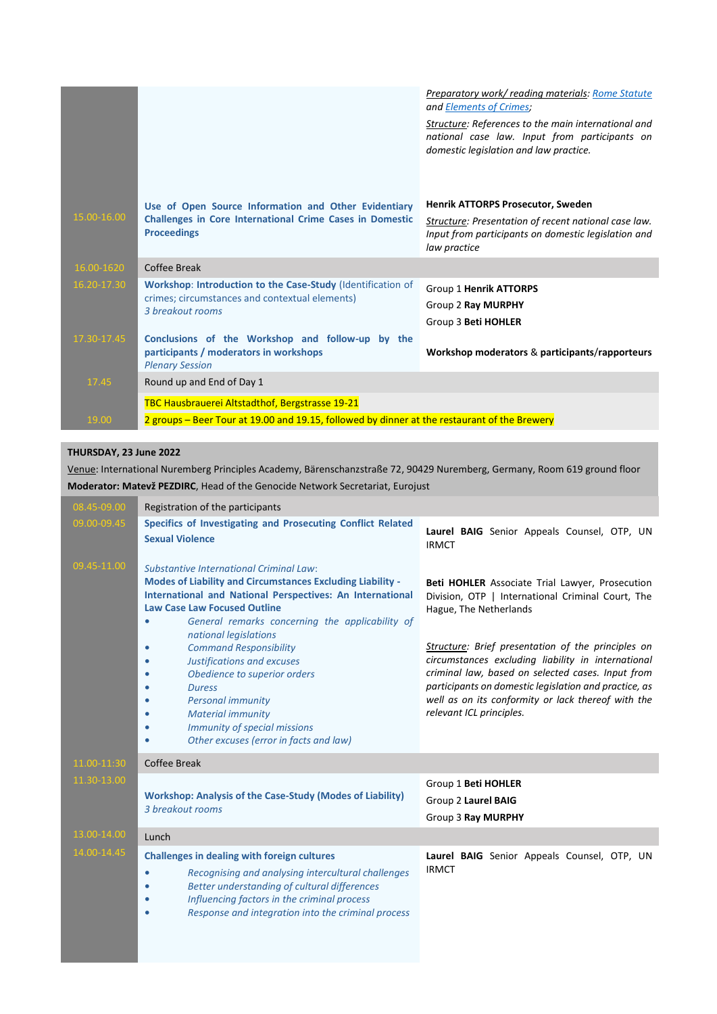|                          |                                                                                                                                                   | <b>Preparatory work/ reading materials: Rome Statute</b><br>and Elements of Crimes;<br>Structure: References to the main international and<br>national case law. Input from participants on<br>domestic legislation and law practice. |
|--------------------------|---------------------------------------------------------------------------------------------------------------------------------------------------|---------------------------------------------------------------------------------------------------------------------------------------------------------------------------------------------------------------------------------------|
| 15.00-16.00              | Use of Open Source Information and Other Evidentiary<br><b>Challenges in Core International Crime Cases in Domestic</b><br><b>Proceedings</b>     | <b>Henrik ATTORPS Prosecutor, Sweden</b><br>Structure: Presentation of recent national case law.<br>Input from participants on domestic legislation and<br>law practice                                                               |
| 16.00-1620               | Coffee Break                                                                                                                                      |                                                                                                                                                                                                                                       |
| 16.20-17.30              | Workshop: Introduction to the Case-Study (Identification of<br>crimes; circumstances and contextual elements)<br>3 breakout rooms                 | Group 1 Henrik ATTORPS<br>Group 2 Ray MURPHY<br>Group 3 Beti HOHLER                                                                                                                                                                   |
| $17.30 - 17.45$<br>17.45 | Conclusions of the Workshop and follow-up by the<br>participants / moderators in workshops<br><b>Plenary Session</b><br>Round up and End of Day 1 | Workshop moderators & participants/rapporteurs                                                                                                                                                                                        |
|                          | TBC Hausbrauerei Altstadthof, Bergstrasse 19-21                                                                                                   |                                                                                                                                                                                                                                       |
| 19.00                    | 2 groups – Beer Tour at 19.00 and 19.15, followed by dinner at the restaurant of the Brewery                                                      |                                                                                                                                                                                                                                       |

#### **THURSDAY, 23 June 2022**

Venue: International Nuremberg Principles Academy, Bärenschanzstraße 72, 90429 Nuremberg, Germany, Room 619 ground floor **Moderator: Matevž PEZDIRC**, Head of the Genocide Network Secretariat, Eurojust

| 08.45-09.00 | Registration of the participants                                                                                                                                                                                                                                                             |                                                                                                                                                                                                                                                                                                          |
|-------------|----------------------------------------------------------------------------------------------------------------------------------------------------------------------------------------------------------------------------------------------------------------------------------------------|----------------------------------------------------------------------------------------------------------------------------------------------------------------------------------------------------------------------------------------------------------------------------------------------------------|
| 09.00-09.45 | Specifics of Investigating and Prosecuting Conflict Related<br><b>Sexual Violence</b>                                                                                                                                                                                                        | Laurel BAIG Senior Appeals Counsel, OTP, UN<br><b>IRMCT</b>                                                                                                                                                                                                                                              |
| 09.45-11.00 | <b>Substantive International Criminal Law:</b><br>Modes of Liability and Circumstances Excluding Liability -<br>International and National Perspectives: An International<br><b>Law Case Law Focused Outline</b><br>General remarks concerning the applicability of<br>national legislations | Beti HOHLER Associate Trial Lawyer, Prosecution<br>Division, OTP   International Criminal Court, The<br>Hague, The Netherlands                                                                                                                                                                           |
|             | <b>Command Responsibility</b><br>$\bullet$<br>Justifications and excuses<br>٠<br>Obedience to superior orders<br><b>Duress</b><br>٠<br><b>Personal immunity</b><br>٠<br><b>Material immunity</b><br>٠<br>Immunity of special missions<br>۰<br>Other excuses (error in facts and law)         | Structure: Brief presentation of the principles on<br>circumstances excluding liability in international<br>criminal law, based on selected cases. Input from<br>participants on domestic legislation and practice, as<br>well as on its conformity or lack thereof with the<br>relevant ICL principles. |
| 11.00-11:30 | Coffee Break                                                                                                                                                                                                                                                                                 |                                                                                                                                                                                                                                                                                                          |
| 11.30-13.00 | <b>Workshop: Analysis of the Case-Study (Modes of Liability)</b><br>3 breakout rooms                                                                                                                                                                                                         | Group 1 Beti HOHLER<br>Group 2 Laurel BAIG<br>Group 3 Ray MURPHY                                                                                                                                                                                                                                         |
| 13.00-14.00 | Lunch                                                                                                                                                                                                                                                                                        |                                                                                                                                                                                                                                                                                                          |
| 14.00-14.45 | <b>Challenges in dealing with foreign cultures</b><br>Recognising and analysing intercultural challenges<br>$\bullet$<br>Better understanding of cultural differences<br>٠<br>Influencing factors in the criminal process<br>٠<br>Response and integration into the criminal process<br>٠    | Laurel BAIG Senior Appeals Counsel, OTP, UN<br><b>IRMCT</b>                                                                                                                                                                                                                                              |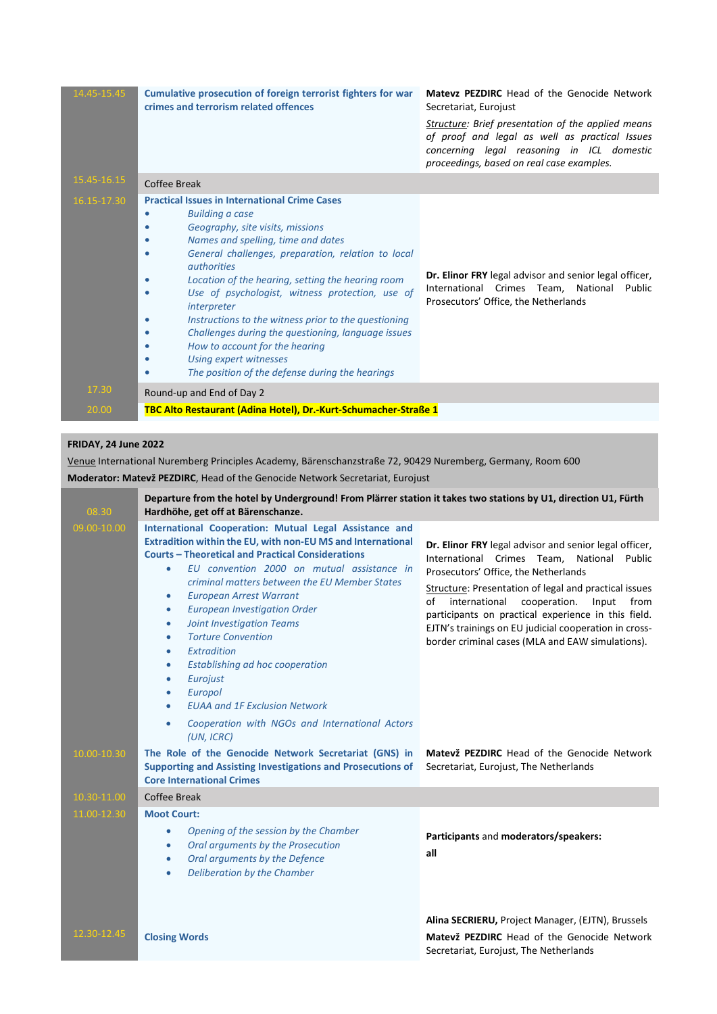| 14.45-15.45 | Cumulative prosecution of foreign terrorist fighters for war<br>crimes and terrorism related offences                                                                                                                                                                                                                                                                                                                                                                                                                                                                                                                                                                              | <b>Matevz PEZDIRC</b> Head of the Genocide Network<br>Secretariat, Eurojust<br>Structure: Brief presentation of the applied means<br>of proof and legal as well as practical Issues<br>concerning legal reasoning in ICL domestic<br>proceedings, based on real case examples. |
|-------------|------------------------------------------------------------------------------------------------------------------------------------------------------------------------------------------------------------------------------------------------------------------------------------------------------------------------------------------------------------------------------------------------------------------------------------------------------------------------------------------------------------------------------------------------------------------------------------------------------------------------------------------------------------------------------------|--------------------------------------------------------------------------------------------------------------------------------------------------------------------------------------------------------------------------------------------------------------------------------|
| 15.45-16.15 | Coffee Break                                                                                                                                                                                                                                                                                                                                                                                                                                                                                                                                                                                                                                                                       |                                                                                                                                                                                                                                                                                |
| 16.15-17.30 | <b>Practical Issues in International Crime Cases</b><br><b>Building a case</b><br>Geography, site visits, missions<br>Names and spelling, time and dates<br>$\bullet$<br>General challenges, preparation, relation to local<br>٠<br><i><u>authorities</u></i><br>Location of the hearing, setting the hearing room<br>$\bullet$<br>Use of psychologist, witness protection, use of<br>$\bullet$<br>interpreter<br>Instructions to the witness prior to the questioning<br>$\bullet$<br>Challenges during the questioning, language issues<br>$\bullet$<br>How to account for the hearing<br>$\bullet$<br>Using expert witnesses<br>The position of the defense during the hearings | Dr. Elinor FRY legal advisor and senior legal officer,<br>International Crimes Team, National Public<br>Prosecutors' Office, the Netherlands                                                                                                                                   |
| 17.30       | Round-up and End of Day 2                                                                                                                                                                                                                                                                                                                                                                                                                                                                                                                                                                                                                                                          |                                                                                                                                                                                                                                                                                |
| 20.00       | TBC Alto Restaurant (Adina Hotel), Dr.-Kurt-Schumacher-Straße 1                                                                                                                                                                                                                                                                                                                                                                                                                                                                                                                                                                                                                    |                                                                                                                                                                                                                                                                                |

### **FRIDAY, 24 June 2022**

Venue International Nuremberg Principles Academy, Bärenschanzstraße 72, 90429 Nuremberg, Germany, Room 600 **Moderator: Matevž PEZDIRC**, Head of the Genocide Network Secretariat, Eurojust

| 08.30       | Departure from the hotel by Underground! From Plärrer station it takes two stations by U1, direction U1, Fürth<br>Hardhöhe, get off at Bärenschanze.                                                                                                                                                                                                                                                                                                                                                                                                                                                                                                                                                                                                       |                                                                                                                                                                                                                                                                                                                                                                                                                                      |
|-------------|------------------------------------------------------------------------------------------------------------------------------------------------------------------------------------------------------------------------------------------------------------------------------------------------------------------------------------------------------------------------------------------------------------------------------------------------------------------------------------------------------------------------------------------------------------------------------------------------------------------------------------------------------------------------------------------------------------------------------------------------------------|--------------------------------------------------------------------------------------------------------------------------------------------------------------------------------------------------------------------------------------------------------------------------------------------------------------------------------------------------------------------------------------------------------------------------------------|
| 09.00-10.00 | International Cooperation: Mutual Legal Assistance and<br>Extradition within the EU, with non-EU MS and International<br><b>Courts - Theoretical and Practical Considerations</b><br>EU convention 2000 on mutual assistance in<br>$\bullet$<br>criminal matters between the EU Member States<br><b>European Arrest Warrant</b><br>$\bullet$<br><b>European Investigation Order</b><br>$\bullet$<br><b>Joint Investigation Teams</b><br>$\bullet$<br><b>Torture Convention</b><br>$\bullet$<br>Extradition<br>$\bullet$<br>Establishing ad hoc cooperation<br>$\bullet$<br>Eurojust<br>$\bullet$<br>Europol<br>$\bullet$<br><b>EUAA and 1F Exclusion Network</b><br>$\bullet$<br>Cooperation with NGOs and International Actors<br>$\bullet$<br>(UN, ICRC) | Dr. Elinor FRY legal advisor and senior legal officer,<br>International Crimes Team, National<br>Public<br>Prosecutors' Office, the Netherlands<br>Structure: Presentation of legal and practical issues<br>international<br>cooperation.<br>of<br>Input<br>from<br>participants on practical experience in this field.<br>EJTN's trainings on EU judicial cooperation in cross-<br>border criminal cases (MLA and EAW simulations). |
| 10.00-10.30 | The Role of the Genocide Network Secretariat (GNS) in<br><b>Supporting and Assisting Investigations and Prosecutions of</b><br><b>Core International Crimes</b>                                                                                                                                                                                                                                                                                                                                                                                                                                                                                                                                                                                            | Matevž PEZDIRC Head of the Genocide Network<br>Secretariat, Eurojust, The Netherlands                                                                                                                                                                                                                                                                                                                                                |
| 10.30-11.00 | Coffee Break                                                                                                                                                                                                                                                                                                                                                                                                                                                                                                                                                                                                                                                                                                                                               |                                                                                                                                                                                                                                                                                                                                                                                                                                      |
| 11.00-12.30 | <b>Moot Court:</b><br>Opening of the session by the Chamber<br>$\bullet$<br>Oral arguments by the Prosecution<br>$\bullet$<br>Oral arguments by the Defence<br>$\bullet$<br>Deliberation by the Chamber<br>$\bullet$                                                                                                                                                                                                                                                                                                                                                                                                                                                                                                                                       | Participants and moderators/speakers:<br>all                                                                                                                                                                                                                                                                                                                                                                                         |
| 12.30-12.45 | <b>Closing Words</b>                                                                                                                                                                                                                                                                                                                                                                                                                                                                                                                                                                                                                                                                                                                                       | Alina SECRIERU, Project Manager, (EJTN), Brussels<br>Matevž PEZDIRC Head of the Genocide Network<br>Secretariat, Eurojust, The Netherlands                                                                                                                                                                                                                                                                                           |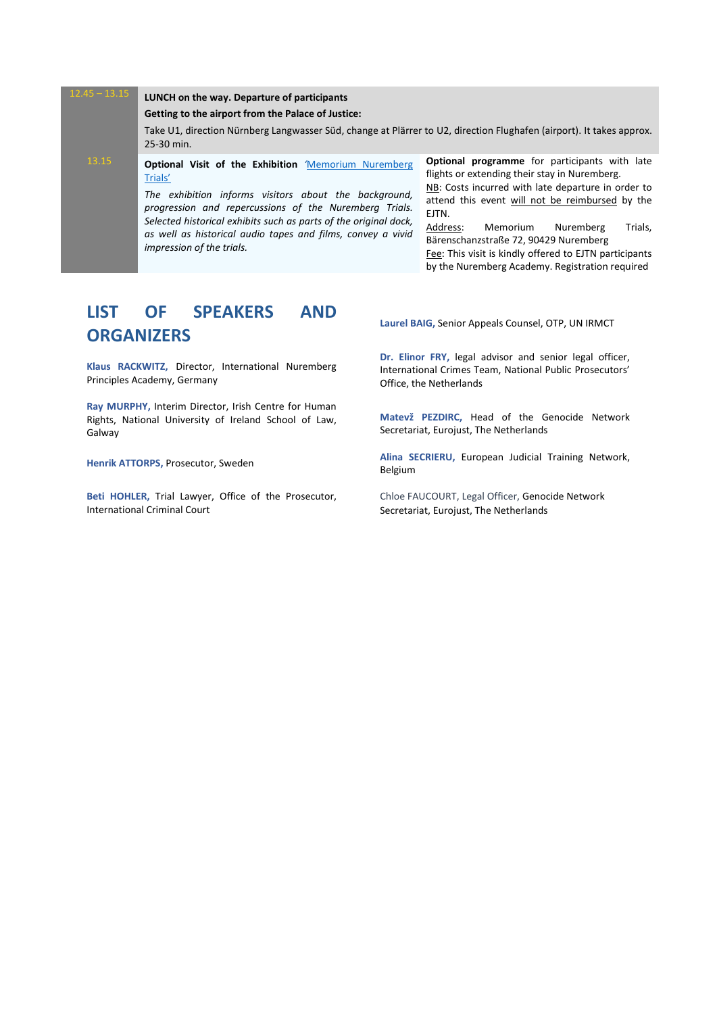#### 12.45 – 13.15 **LUNCH on the way. Departure of participants Getting to the airport from the Palace of Justice:** Take U1, direction Nürnberg Langwasser Süd, change at Plärrer to U2, direction Flughafen (airport). It takes approx. 25-30 min. 13.15 **Optional Visit of the Exhibition** *'*[Memorium Nuremberg](http://www.memorium-nuremberg.de/download/Memorium_Broschuere_en.pdf)  [Trials'](http://www.memorium-nuremberg.de/download/Memorium_Broschuere_en.pdf) *The exhibition informs visitors about the background, progression and repercussions of the Nuremberg Trials. Selected historical exhibits such as parts of the original dock, as well as historical audio tapes and films, convey a vivid impression of the trials.* **Optional programme** for participants with late flights or extending their stay in Nuremberg. NB: Costs incurred with late departure in order to attend this event will not be reimbursed by the EJTN. Address: Memorium Nuremberg Trials, Bärenschanzstraße 72, 90429 Nuremberg Fee: This visit is kindly offered to EJTN participants by the Nuremberg Academy. Registration required

## **LIST OF SPEAKERS AND ORGANIZERS**

**Klaus RACKWITZ,** Director, International Nuremberg Principles Academy, Germany

**Ray MURPHY,** Interim Director, Irish Centre for Human Rights, National University of Ireland School of Law, Galway

**Henrik ATTORPS,** Prosecutor, Sweden

**Beti HOHLER,** Trial Lawyer, Office of the Prosecutor, International Criminal Court

**Laurel BAIG,** Senior Appeals Counsel, OTP, UN IRMCT

**Dr. Elinor FRY,** legal advisor and senior legal officer, International Crimes Team, National Public Prosecutors' Office, the Netherlands

**Matevž PEZDIRC,** Head of the Genocide Network Secretariat, Eurojust, The Netherlands

**Alina SECRIERU,** European Judicial Training Network, Belgium

Chloe FAUCOURT, Legal Officer, Genocide Network Secretariat, Eurojust, The Netherlands